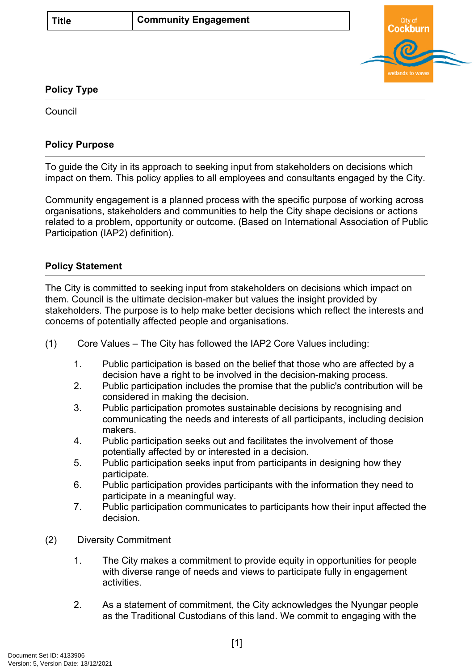

## **Policy Type**

Council

## **Policy Purpose**

To guide the City in its approach to seeking input from stakeholders on decisions which impact on them. This policy applies to all employees and consultants engaged by the City.

Community engagement is a planned process with the specific purpose of working across organisations, stakeholders and communities to help the City shape decisions or actions related to a problem, opportunity or outcome. (Based on International Association of Public Participation (IAP2) definition).

## **[Policy Statement](#page-0-0)**

<span id="page-0-0"></span>The City is committed to seeking input from stakeholders on decisions which impact on them. Council is the ultimate decision-maker but values the insight provided by stakeholders. The purpose is to help make better decisions which reflect the interests and concerns of potentially affected people and organisations.

- (1) Core Values The City has followed the IAP2 Core Values including:
	- 1. Public participation is based on the belief that those who are affected by a decision have a right to be involved in the decision-making process.
	- 2. Public participation includes the promise that the public's contribution will be considered in making the decision.
	- 3. Public participation promotes sustainable decisions by recognising and communicating the needs and interests of all participants, including decision makers.
	- 4. Public participation seeks out and facilitates the involvement of those potentially affected by or interested in a decision.
	- 5. Public participation seeks input from participants in designing how they participate.
	- 6. Public participation provides participants with the information they need to participate in a meaningful way.
	- 7. Public participation communicates to participants how their input affected the decision.
- (2) Diversity Commitment
	- 1. The City makes a commitment to provide equity in opportunities for people with diverse range of needs and views to participate fully in engagement activities.
	- 2. As a statement of commitment, the City acknowledges the Nyungar people as the Traditional Custodians of this land. We commit to engaging with the